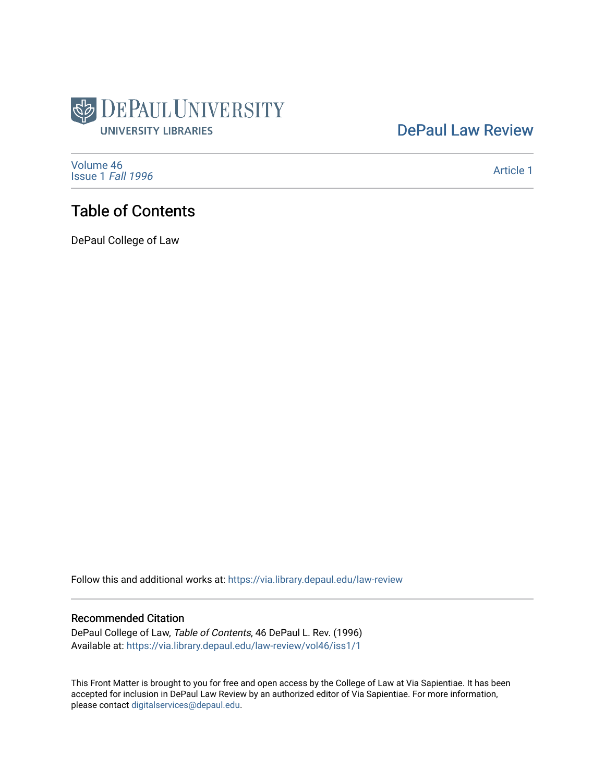

# [DePaul Law Review](https://via.library.depaul.edu/law-review)

[Volume 46](https://via.library.depaul.edu/law-review/vol46) [Issue 1](https://via.library.depaul.edu/law-review/vol46/iss1) Fall 1996

[Article 1](https://via.library.depaul.edu/law-review/vol46/iss1/1) 

# Table of Contents

DePaul College of Law

Follow this and additional works at: [https://via.library.depaul.edu/law-review](https://via.library.depaul.edu/law-review?utm_source=via.library.depaul.edu%2Flaw-review%2Fvol46%2Fiss1%2F1&utm_medium=PDF&utm_campaign=PDFCoverPages) 

#### Recommended Citation

DePaul College of Law, Table of Contents, 46 DePaul L. Rev. (1996) Available at: [https://via.library.depaul.edu/law-review/vol46/iss1/1](https://via.library.depaul.edu/law-review/vol46/iss1/1?utm_source=via.library.depaul.edu%2Flaw-review%2Fvol46%2Fiss1%2F1&utm_medium=PDF&utm_campaign=PDFCoverPages) 

This Front Matter is brought to you for free and open access by the College of Law at Via Sapientiae. It has been accepted for inclusion in DePaul Law Review by an authorized editor of Via Sapientiae. For more information, please contact [digitalservices@depaul.edu.](mailto:digitalservices@depaul.edu)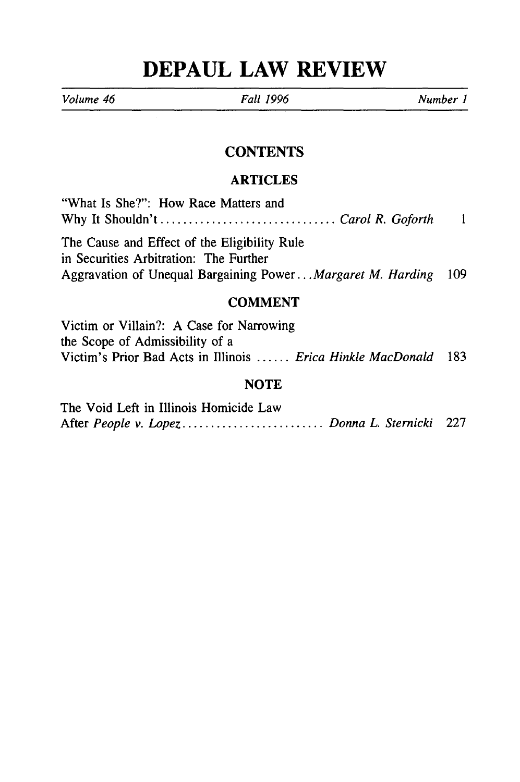# **DEPAUL LAW REVIEW**

*Volume 46 Fall 1996 Number I*

ł

## **CONTENTS**

#### **ARTICLES**

| "What Is She?": How Race Matters and                           |  |
|----------------------------------------------------------------|--|
| Why It Shouldn'tCarol R. Goforth                               |  |
| The Cause and Effect of the Eligibility Rule                   |  |
| in Securities Arbitration: The Further                         |  |
| Aggravation of Unequal Bargaining PowerMargaret M. Harding 109 |  |

## **COMMENT**

| Victim or Villain?: A Case for Narrowing                          |      |
|-------------------------------------------------------------------|------|
| the Scope of Admissibility of a                                   |      |
| Victim's Prior Bad Acts in Illinois <i>Erica Hinkle MacDonald</i> | -183 |

### NOTE

| The Void Left in Illinois Homicide Law       |  |
|----------------------------------------------|--|
| After People v. Lopez Donna L. Sternicki 227 |  |